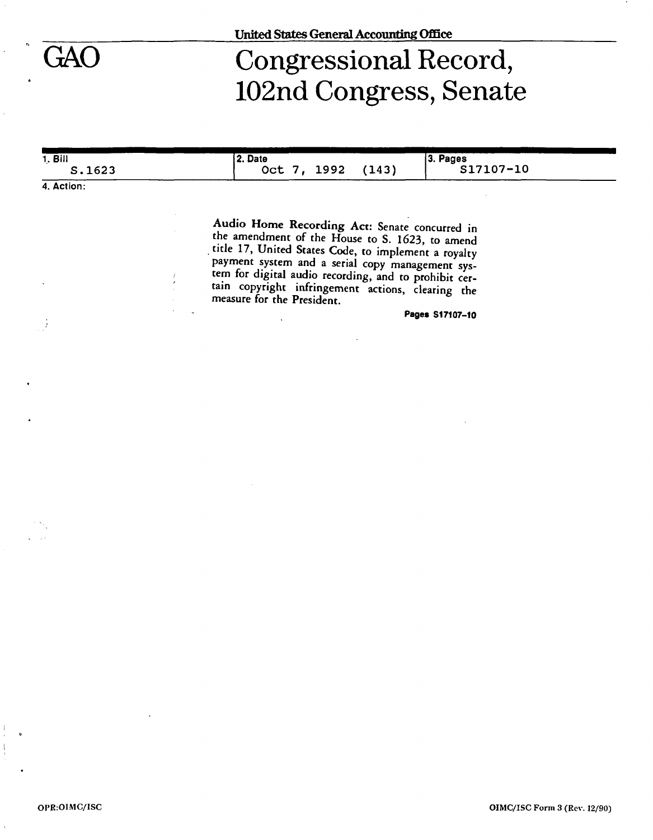# Congressional Record, 102nd Congress, Senate

| 1. Bill | 2. Date          | 3. Pages  |
|---------|------------------|-----------|
|         |                  | S17107-10 |
| S.1623  | 1992<br>Oct $7,$ | (143)     |
|         |                  |           |

**4. Action:** 

Audio Home Recording Act: Senate concurred in the amendment of the House to S. 1623, to amend title 17, United States Code, to implement a royalty payment system and a serial copy management system for digital audio recording, and to prohibit certain copyright infringement actions, clearing the measure for the President.

**Pages S17107-10**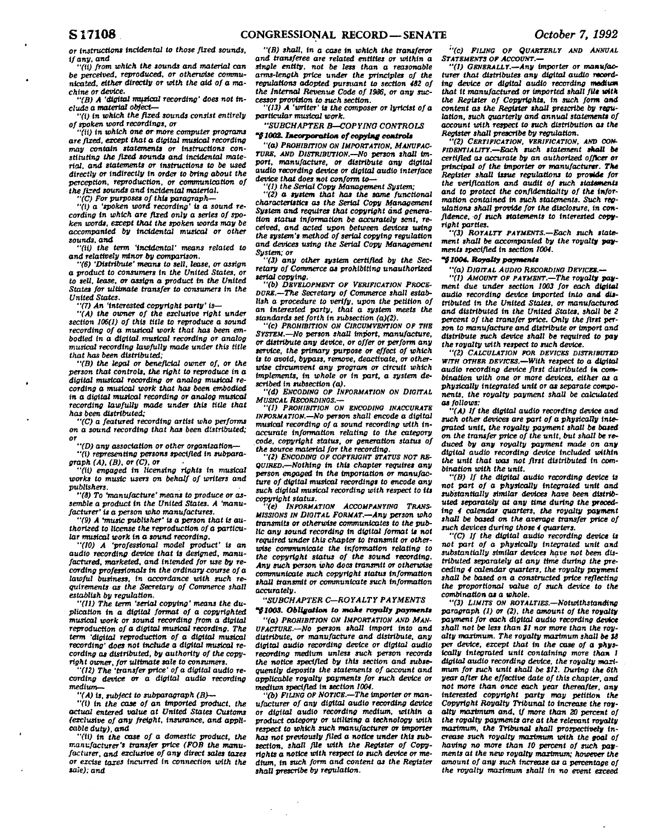*or instructions incidental to those fixed sounds, if any. and* 

*"(it) from which the sounds and material can be perceived, reproduced, or otherwise communicated, either directly or with the aid of a machine or device.* 

*"(B) A 'digital musical recording' does not include a material object***—** 

*"(I) in which the fixed sounds consist entirely of spoken word recordings, or* 

*"(It) tn which one or more computer programs are fixed, except that a digital musical recording may contain statements or instructions constituting the fixed sounds and incidental material, and statements or instructions to be used directly or Indirectly tn order to bring about the perception, reproduction, or communication of the fixed sounds and incidental material.* 

*"(C) For purposes of this paragraph***—** 

*"(I) a 'spoken word recording' Is a sound recording In which are fixed only a series of spoken words, except that the spoken words may be accompanied by incidental musical or other sounds, and* 

*"(11) the term 'Incidental' means related to and relatively minor by comparison.* 

*"(6) 'Distribute' means to sell, lease, or assign a product to consumers in the United States, or to sell, lease, or assign a product tn the United States for ultimate transfer to consumers tn the United States.* 

*"(7) An 'Interested copyright party' Is***—** 

*"(A) the owner of the exclusive right under section 106(1) of this title to reproduce a sound recording of a musical work that has been embodied tn a digital- musical recording or analog musical recording lawfully made under this title that has been distributed;* 

*"(B) the legal or beneficial owner of, or the person that controls, the right to reproduce tn a digital musical recording or analog musical recording a musical work that has been embodied in a digital musical recording or analog musical recording lawfully made under this title that has been distributed:* 

*"(C) a featured recording artist who performs on a sound recording that has been distributed; or* 

*"(D) any association or other organization***—** 

*"(t) representing persons specified in subparagraph (A), (B), or (C), or* 

*"(ti) engaged tn licensing rights tn musical works to music users on behalf of writers and publishers.* 

*"(8) To "manufacture' means to produce or assemble a product in the United States. A 'manufacturer' is a person who manufactures.* 

*"(9) A "music publisher' is a person that is authorized to license the reproduction of a particular musical work In a sound recording.* 

*"(10) A 'professional model product' Is an audio recording device that is designed, manufactured, marketed, and Intended for use by recording professionals tn the ordinary course of a lawful business, in accordance with such requirements as the Secretary of Commerce shall establish by regulation.* 

*"(11) The term 'serial copying' means the duplication in a digital format of a copyrighted musical work or sound recording from a digital reproduction of a digital musical recording. The term 'digital reproduction of a digital musical recording' does not Include a digital musical recording as distributed, by authority of the copyright owner, for ultimate sale to consumers.* 

*"(12) The 'transfer price' of a digital audio recording device or a digital audio recording medium—* 

*"(A) Is, subject to subparagraph (B)***—** 

*"(i) in the case of an imported product, the actual entered value at United States Customs (exclusive of any freight, insurance, and applicable duty), and* 

*"(ii)* **In** *the case of a domestic product, the manufacturer's transfer price (FOB the manufacturer, and exclusive of any direct sales taxes or excise taxes Incurred tn connection with the sale): and* 

*"(B) shall, tn a case tn which the transferor and transferee are related entitles or within a single entity, not be less than a reasonable arms-length price under the principles of the regulations adopted pursuant to section 482 of the Internal Revenue Code of 1986, or any successor provision to such section.* 

*"(13) A 'writer' Is the composer or lyricist of a particular musical work.* 

*"SUBCHAPTER B—COPYING CONTROLS 11002. Incorporation of copying control\** 

*"(a) PROHIBITION ON IMPORTATION, MANUFAC-TURE, AND DISTRIBUTION.—No person shall import, manufacture, or distribute any digital audio recording device or digital audio interface device that does not conform to***—** 

*"(1) the Serial Copy Management System; "(2) a system that has the same functional characteristics as the Serial Copy Management System and requires that copyright and generation status Information be accurately sent, received, and acted upon between devices using the system's method of serial copying regulation and devices using the Serial Copy Management System; or* 

*"(3) any other system certified by the Secretary of Commerce as prohibiting unauthorized serial copying.* 

*"(b) DEVELOPMENT OP VERIFICATION PROCE-DURE.—The Secretary of Commerce shall establish a procedure to verify, upon the petition of an interested party, that a system meets the standards set forth in subsection (a)(2).* 

*"(c) PROHIBITION ON CIRCUMVENTION OP THE SYSTEM.***—***No person shall import, manufacture, or distribute any device, or offer or perform any service, the primary purpose or effect of which is to avoid, bypass, remove, deactivate, or otherwise circumvent any program or circuit which implements, in whole or in part, a system described in subsection (a).* 

*"(d) ENCODING OF INFORMATION ON DIGITAL MUSICAL RECORDINGS.—* 

*"(I) PROHIBITION ON ENCODING INACCURATE INFORMATION.—No person shall encode a digital musical recording of a sound recording with inaccurate information relating to the category code, copyright status, or generation status of the source material for the recording.* 

*"(2) ENCODING OP COPYRIGHT STATUS NOT RE-QUIRED.***—***Nothing tn this chapter requires any person engaged In the Importation or manufacture of digital musical recordings to encode any such digital musical recording with respect to Its copyright status.* 

*"(e) INFORMATION ACCOMPANYING TRANS-MISSIONS IN DIGITAL FORMAT.—Any person who transmits or otherwise communicates to the public any sound recording tn digital format Is not required under this chapter to transmit or otherwise communicate the Information relating to the copyright status of the sound recording. Any such person who does transmit or otherwise communicate such copyright status information shall transmit or communicate such information accurately.* 

# *"SUBCHAPTER C—ROYALTY PAYMENTS "91003. Obligation to make royalty payment\**

*"(a) PROHIBITION ON IMPORTATION AND MAN-UFACTURE.***—***No person shall Import Into and distribute, or manufacture and distribute, any digital audio recording device or digital audio recording medium unless such person records the notice specified by this section and subsequently deposits the statements of account and applicable royalty payments for such device or medium specified tn section 1004.* 

*"(b) FILING OF NOTICE.—The importer or manufacturer of any digital audio recording device or digital audio recording medium, wlthtn a product category or utilizing a technology with respect to which such manufacturer or importer has not previously filed a notice under this subsection, shall file with the Register of Copyrights a notice with respect to such device or medium, in such form and content as the Register shall prescribe by regulation.* 

*"(c) PILING OP QUARTERLY AND ANNUAL STATEMENTS OP ACCOUNT.—* 

*"(1) GENERALLY.***—***Any importer or manufacturer that distributes any digital audio rocordtng device or digital audio recording madium that it manufactured or Imported shall fill with the Register of Copyrights, in such form and content as the Register shall prescribe by regulation, such quarterly and annual statements of account with respect to such distribution as the Register shall prescribe by regulation.* 

*"(2) CERTIFICATION, VERIFICATION, AND CON-FIDENTIALITY.—Each such statement shall be certified as accurate by an authorized officer or principal of the importer or manufacturer. The Register shall issue regulations to provide for the verification and audit of such statements and to protect the confidentiality of the information contained tn such statements. Such regulations shall provide for the disclosure. In confidence, of such statements to interested copyright parties.* 

*"(3) ROYALTY PAYMENTS.—Each such statement shall be accompanied by the royalty payments specified in section 1004.* 

# **\*¥** *1004. Royalty payments*

*"(a) DIGITAL AUDIO RECORDING DEVICES.—* 

*"(1) AMOUNT OF PAYMENT.—The royalty payment due under section 1003 for each digital audio recording device Imported Into and distributed in the United States, or manufactured and distributed in the United States, shall be 2 percent of the transfer price. Only the first person to manufacture and distribute or Import and distribute such device shall be required to pay the royalty with respect to such device.* 

*"(2) CALCULATION FOR DEVICES DISTRIBUTED WITH OTHER DEVICES.—With respect to a digital audio recording device first distributed* **in** *combination with one or more devices, either as a physically Integrated unit or as separate components, the royalty payment shall be calculated as follows:* 

*"(A) If the digital audio recording device and such other devices are part of a physically Integrated unit, the royalty payment shall be based on the transfer price of the unit, but shall be reduced by any royalty payment made on any digital audio recording device Included within the untt that was not first distributed In combination with the unit.* 

*"(B) If the digital audio recording device Is not part of a physically integrated unit and substantially similar devices have been distributed separately at any time during the preceding 4 calendar quarters, the royalty payment shall be based on the average transfer price of such devices during those 4 quarters.* 

*"(C) If the digital audio recording device is not part of a physically integrated untt and substantially similar devices have not been distributed separately at any time during the preceding 4 calendar quarters, the royalty payment shall be based on a constructed price reflecting the proportional value of such device to the combination as a whole.* 

*"(3) LIMITS ON ROYALTIES.—Notwithstanding paragraph (1) or (2), the amount of the royalty payment for each digital audio recording device shall not be less than SI nor more than the royalty maximum. The royalty maximum shall be 18 per device, except that* **in** *the case of a physically integrated unit containing more than 1 digital audio recording device, the royalty maximum for such unit shall be S12. During the 6th year after the effective date of this chapter, and not more than once each year thereafter, any Interested copyright party may petition the Copyright Royalty Tribunal to increase the royalty maximum and. If more than 20 percent of the royalty payments are at the relevant royalty maximum, the Tribunal shall prospectively increase such royalty maximum with the goal of having no more than 10 percent of such payments at the new royalty maximum; however the amount of any such increase as a percentage of the royalty maximum shall In no event exceed*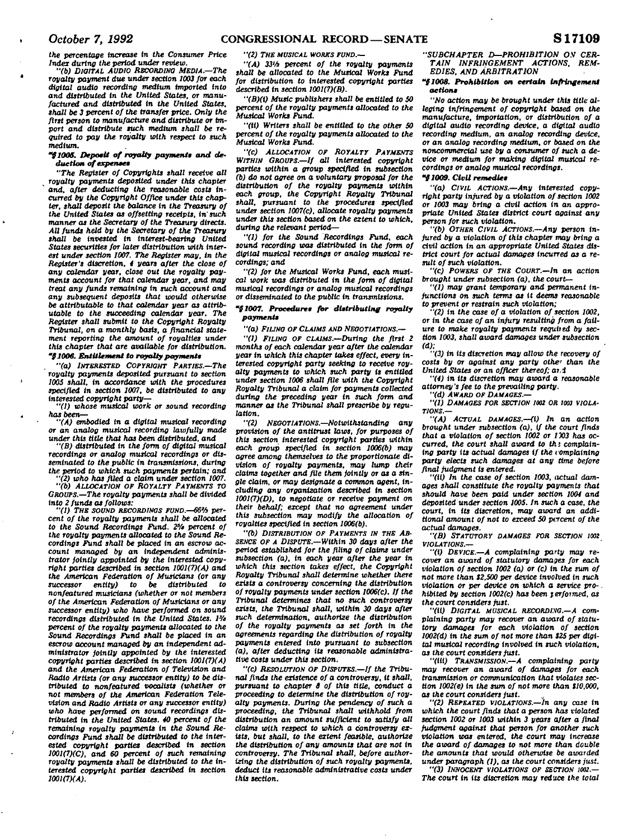<sup>I</sup>*October 7, 1992* **CONGRESSIONAL RECORD—SENATE S 17109** 

*the percentage increase in the Consumer Price Index during the period under review. "(b) DIGITAL AUDIO RECORDING MEDIA.—The* 

*royalty payment due under section 1003 for each digital audio recording medium imported into and distributed in the United States, or manufactured and distributed in the United States, shall be 3 percent of the transfer price. Only the first person to manufacture and distribute or import and distribute such medium shall be required to pay the royalty with respect to such medium.* 

### "§1005. Deposit of royalty payments and deduction of expenses

*"The Register of Copyrights shall receive all royalty payments deposited under this chapter*  and, after deducting the reasonable costs in*curred by the Copyright Office under this chapter, shall deposit the balance in the Treasury of the United States as offsetting receipts, in such manner as the Secretary of the Treasury directs. All funds held by the Secretary of the Treasury shall be invested in interest-bearing United States securities for later distribution with interest under section 1007. The Register may, in the Register's discretion, 4 years after the close of any calendar year, close out the royalty payments account for that calendar year, and may treat any funds remaining in such account and any subsequent deposits that would otherwise be attributable to that calendar year as attributable to the succeeding calendar year. The Register shall* **submit** *to the Copyright Royalty Tribunal, on a monthly basis, a financial statement reporting the amount of royalties under this chapter that are available for distribution. '{1006. Entitlement to royalty payments* 

*"(a) INTERESTED COPYRIGHT PARTIES—The royalty payments deposited pursuant to section 1005 shall, in accordance with the procedures specified in section 1007, be distributed to any interested copyright party***—** 

*"(1) whose musical work or sound recording*   $has been$ 

*"(A) embodied in a digital musical recording or an analog musical recording lawfully made under this title that has been distributed, and* 

*"(B) distributed* **in** *the form of digital musical recordings or analog musical recordings or disseminated to the public in transmissions, during the period to which such payments pertain; and* 

*"(2) who has filed a claim under section 1007. "(b) ALLOCATION OF ROYALTY PAYMENTS TO GROUPS.—The royalty payments shall be divided* 

*into 2 funds as follows: "(1) THE SOUND RECORDINGS FUND.—66'H percent of the royalty payments shall be allocated*  to the Sound Recordings Fund. 2<sup>5</sup>/<sub>2</sub> percent of *the royalty payments allocated to the Sound Recordings Fund shall be placed in an escrow account managed by an independent administrator jointly appointed by the interested copyright parties described in section 1001(7)(A) and the American Federation of Musicians (or any*   $successor$  entity) to be distributed *nonfeatured musicians (whether or not members of the American Federation of Musicians or any successor entity) who have performed on sound recordings distributed in the United States. 1% percent of the royalty payments allocated to the Sound Recordings Fund shall be placed in an escrow account managed by an Independent administrator jointly appointed by the interested copyright parties described in section 1001(7)(A) and the American Federation of Television and Radio Artists (or any successor entity) to be distributed to nonfeatured vocalists (whether or not members of the American Federation Television and Radio Artists or any successor entity) who have performed on sound recordings distributed in the United States. 40 percent of the*  remaining royalty payments in the Sound Re*cordings Fund shall be distributed to the interested copyright parties described in section 1001(7)(C), and 60 percent of such remaining royalty payments shall be distributed to the interested copyright parties described in section 1001(7XA).* 

*"(2) THE MUSICAL WORKS FUND.—* 

*"(A) 33'A percent of the royalty payments shall be allocated to the Musical Works Fund for distribution to Interested copyright parties described in section 1001(7)(B).* 

*"(B)(1) Music publishers shall be entitled to 50 percent of the royalty payments allocated to the Musical Works Fund.* 

*"(ii) Writers shall be entitled to the other 50 percent of the royalty payments allocated to the Musical Works Fund.* 

*"(C) ALLOCATION OF ROYALTY PAYMENTS WITHIN GROUPS—If all interested copyright parties within a group specified in subsection (b) do not agree on a voluntary proposal for the distribution of the royalty payments within each group, the Copyright Royalty Tribunal shall, pursuant to the procedures specified under section 1007(c), allocate royalty payments under this section based on the extent to which, during the relevant period***—** 

*"(1) for the Sound Recordings Fund, each sound recording was distributed in the form of digital musical recordings or analog musical recordings; and* 

*"(2) for the Musical Works Fund, each musical work was distributed in the form of digital musical recordings or analog musical recordings or disseminated to the public in transmissions.* 

### *"91007. Procedures for distributing royalty payment\**

*"(a) FILING OF CLAIMS AND NEGOTIATIONS.—* 

*"(1) FILING OF CLAIMS.—During the first 2 months of each calendar year after the calendar year in which this chapter takes effect, every interested copyright party seeking to receive royalty payments to which such party is entitled under section 1006 shall file with the Copyright Royalty Tribunal a claim for payments collected during the preceding year in such form and manner as the Tribunal shall prescribe by regulation.* 

*"(2) NEGOTIATIONS.—Notwithstanding any provision of the antitrust laws, for purposes of this section interested copyright parties within each group specified in section 1006(b) may agree among themselves to the proportionate division of royalty payments, may lump their claims together and file them jointly or as a single claim, or may designate a common agent, including any organization described in section 1001(7)(D), to negotiate or receive payment on their behalf; except that no agreement under this subsection may modify the allocation of royalties specified in section 1006(b).* 

*"(b) DISTRIBUTION OF PAYMENTS IN THE AB-SENCE OF A DISPUTE.—Within 30 days after the period established for the filing of claims under subsection (a). In each year after the year* **in**  *which this section takes effect, the Copyright Royalty Tribunal shall determine whether there exists a controversy concerning the distribution of royalty payments under section 1006(c). If the Tribunal determines that no such controversy exists, the Tribunal shall, within 30 days after such determination, authorize the distribution of the royalty payments as set forth* **in** *the agreements regarding the distribution of royalty payments entered into pursuant to subsection (a), after deducting its reasonable administrative costs under this section.* 

*"(c) RESOLUTION OF DISPUTES.—If the Tribunal finds the existence of a controversy, it shall, pursuant to chapter 8 of this title, conduct a proceeding to determine the distribution of royalty payments. During the pendency of such a proceeding, the Tribunal shall withhold from distribution an amount sufficient to satisfy all claims with respect to which a controversy exists, but shall, to the extent feasible, authorize the distribution of any amounts that are not in controversy. The Tribunal shall, before authorizing the distribution of such royalty payments, deduct its reasonable administrative costs under this section.* 

*"SUBCHAPTER D—PROHIBITION* **O.V** *CER-TAIN INFRINGEMENT ACTIONS. REM-EDIES. AND ARBITRATION* 

### *"{1008. Prohibition on certain Infringement action\**

*"No action may be brought under this title alleging infringement of copyright based on the manufacture, importation, or distribution of a digital audio recording device, a digital audio recording medium, an analog recording device, or an analog recording medium, or based on the noncommercial use by a consumer of such a device or medium for making digital musical recordings or analog musical recordings.* 

# *"(1009. Ctvil remedle\**

*"(a) CIVIL ACTIONS.—Any interested copyright party injured by a violation of section 1002 or 1003 may bring a civil action In an appropriate United States district court against any person for such violation.* 

*"(b) OTHER CIVIL ACTIONS.—Any person injured by a violation of this chapter may bring a civil action in an appropriate United States district court for actual damages incurred as a result of such violation.* 

*"(c) POWERS OF THE COURT.—In an action brought under subsection (a), the court***—** 

*"(I) may grant temporary and permanent injunctions on such terms as it deems reasonable to prevent or restrain such violation;* 

*"(2) In the case of a violation of section 1002, or in the case of an Injury resulting from a failure to make royalty payments requited by section 1003, shall award damages under subsection* 

*(d): "(3) In Its discretion may allow the recovery of costs by or against any party othe' than the United States or an officer thereof; ar.i* 

*"(4) In Its discretion may award a reasonable attorney's fee to the prevailing party.* 

*"(d) AWARD OF DAMAGES —* 

*"(1) DAMAGES FOR SECTION 1002 OR 1003 VIOLA-TIONS.—* 

*"(A) ACTUAL DAMAGES.—(I) In an action brought under subsection (a), if the court finds that a violation of section 1002 or 1 X)3 has occurred, the court shall award to the complaining party its actual damages if the vomplalnlng party elects such damages at any time before final judgment is entered.* 

*"(it) In the case of section 1003, actual damages shall constitute the royalty payments that should have been paid under section 1004 and deposited under section 1005. In such a case, the court,* **in** *tts discretion, may award an addi-tional amount of not to exceed 50 percent of the actual damages.* 

*"(B) STATUTORY DAMAGES FOR SECTION IOOZ VIOLATIONS.***—** 

*"(l) DEVICE.***—***A complaining party may recover an award of statutory damages for each violation of section 1002 (a) or (c) in the sum of not more than S2.500 per device Involved* **in** *such violation or per device on which a service pro-. hibited by section 1002(c) has been terformed, as the court considers just.* 

*"(U) DIGITAL MUSICAL RECORDING.—A complaining party may recover an award of statutory damages for each violation of section 1002(d) in the sum of not more than \$25 per digital musical recording Involved In such violation, as the court considers just.* 

*"(itt) TRANSMISSION.—A complaining party may recover an award of damages for each transmission or communication that violates section 1002(e)* **in** *the sum of not more than 110,000, as the court considers just.* 

*"(2) REPEATED VIOLATIONS.—In any case In which the court finds that a person has violated section 1002 or 1003 within 3 years after a final judgment against that person for another such violation was entered, the court may increase the award of damages to not more than double the amounts that would otherwise be awarded under paragraph (1), as the court considers just.* 

*"(3) INNOCENT VIOLATIONS OF SECTION 1002.— The court in its discretion may reduce the total*